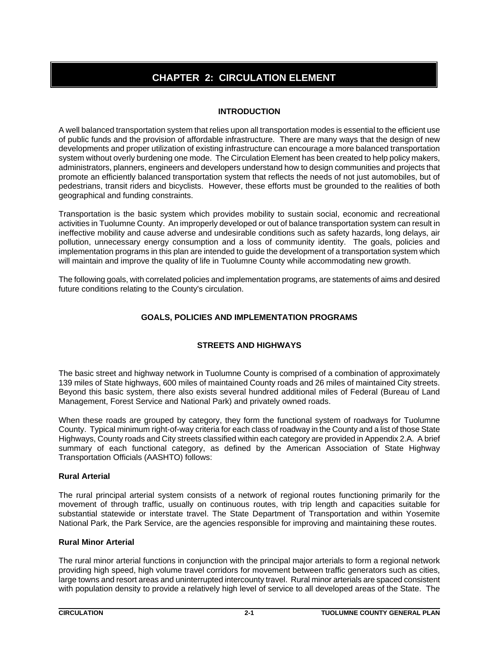# **CHAPTER 2: CIRCULATION ELEMENT**

# **INTRODUCTION**

A well balanced transportation system that relies upon all transportation modes is essential to the efficient use of public funds and the provision of affordable infrastructure. There are many ways that the design of new developments and proper utilization of existing infrastructure can encourage a more balanced transportation system without overly burdening one mode. The Circulation Element has been created to help policy makers, administrators, planners, engineers and developers understand how to design communities and projects that promote an efficiently balanced transportation system that reflects the needs of not just automobiles, but of pedestrians, transit riders and bicyclists. However, these efforts must be grounded to the realities of both geographical and funding constraints.

Transportation is the basic system which provides mobility to sustain social, economic and recreational activities in Tuolumne County. An improperly developed or out of balance transportation system can result in ineffective mobility and cause adverse and undesirable conditions such as safety hazards, long delays, air pollution, unnecessary energy consumption and a loss of community identity. The goals, policies and implementation programs in this plan are intended to guide the development of a transportation system which will maintain and improve the quality of life in Tuolumne County while accommodating new growth.

The following goals, with correlated policies and implementation programs, are statements of aims and desired future conditions relating to the County's circulation.

# **GOALS, POLICIES AND IMPLEMENTATION PROGRAMS**

# **STREETS AND HIGHWAYS**

The basic street and highway network in Tuolumne County is comprised of a combination of approximately 139 miles of State highways, 600 miles of maintained County roads and 26 miles of maintained City streets. Beyond this basic system, there also exists several hundred additional miles of Federal (Bureau of Land Management, Forest Service and National Park) and privately owned roads.

When these roads are grouped by category, they form the functional system of roadways for Tuolumne County. Typical minimum right-of-way criteria for each class of roadway in the County and a list of those State Highways, County roads and City streets classified within each category are provided in Appendix 2.A. A brief summary of each functional category, as defined by the American Association of State Highway Transportation Officials (AASHTO) follows:

# **Rural Arterial**

The rural principal arterial system consists of a network of regional routes functioning primarily for the movement of through traffic, usually on continuous routes, with trip length and capacities suitable for substantial statewide or interstate travel. The State Department of Transportation and within Yosemite National Park, the Park Service, are the agencies responsible for improving and maintaining these routes.

# **Rural Minor Arterial**

The rural minor arterial functions in conjunction with the principal major arterials to form a regional network providing high speed, high volume travel corridors for movement between traffic generators such as cities, large towns and resort areas and uninterrupted intercounty travel. Rural minor arterials are spaced consistent with population density to provide a relatively high level of service to all developed areas of the State. The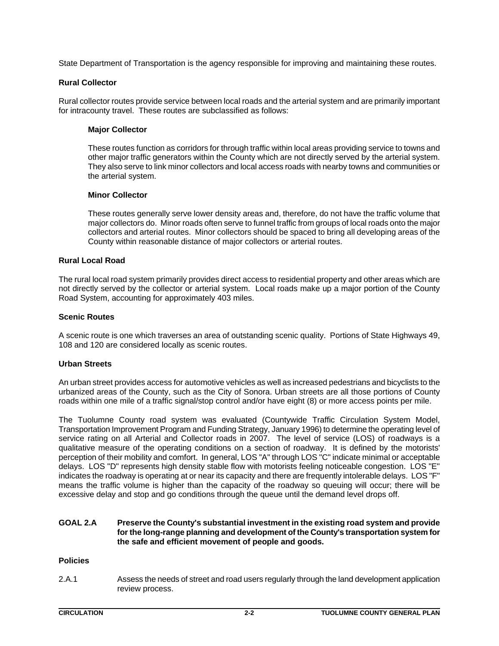State Department of Transportation is the agency responsible for improving and maintaining these routes.

## **Rural Collector**

Rural collector routes provide service between local roads and the arterial system and are primarily important for intracounty travel. These routes are subclassified as follows:

## **Major Collector**

These routes function as corridors for through traffic within local areas providing service to towns and other major traffic generators within the County which are not directly served by the arterial system. They also serve to link minor collectors and local access roads with nearby towns and communities or the arterial system.

## **Minor Collector**

These routes generally serve lower density areas and, therefore, do not have the traffic volume that major collectors do. Minor roads often serve to funnel traffic from groups of local roads onto the major collectors and arterial routes. Minor collectors should be spaced to bring all developing areas of the County within reasonable distance of major collectors or arterial routes.

## **Rural Local Road**

The rural local road system primarily provides direct access to residential property and other areas which are not directly served by the collector or arterial system. Local roads make up a major portion of the County Road System, accounting for approximately 403 miles.

## **Scenic Routes**

A scenic route is one which traverses an area of outstanding scenic quality. Portions of State Highways 49, 108 and 120 are considered locally as scenic routes.

## **Urban Streets**

An urban street provides access for automotive vehicles as well as increased pedestrians and bicyclists to the urbanized areas of the County, such as the City of Sonora. Urban streets are all those portions of County roads within one mile of a traffic signal/stop control and/or have eight (8) or more access points per mile.

The Tuolumne County road system was evaluated (Countywide Traffic Circulation System Model, Transportation Improvement Program and Funding Strategy, January 1996) to determine the operating level of service rating on all Arterial and Collector roads in 2007. The level of service (LOS) of roadways is a qualitative measure of the operating conditions on a section of roadway. It is defined by the motorists' perception of their mobility and comfort. In general, LOS "A" through LOS "C" indicate minimal or acceptable delays. LOS "D" represents high density stable flow with motorists feeling noticeable congestion. LOS "E" indicates the roadway is operating at or near its capacity and there are frequently intolerable delays. LOS "F" means the traffic volume is higher than the capacity of the roadway so queuing will occur; there will be excessive delay and stop and go conditions through the queue until the demand level drops off.

## **GOAL 2.A Preserve the County's substantial investment in the existing road system and provide for the long-range planning and development of the County's transportation system for the safe and efficient movement of people and goods.**

## **Policies**

2.A.1 Assess the needs of street and road users regularly through the land development application review process.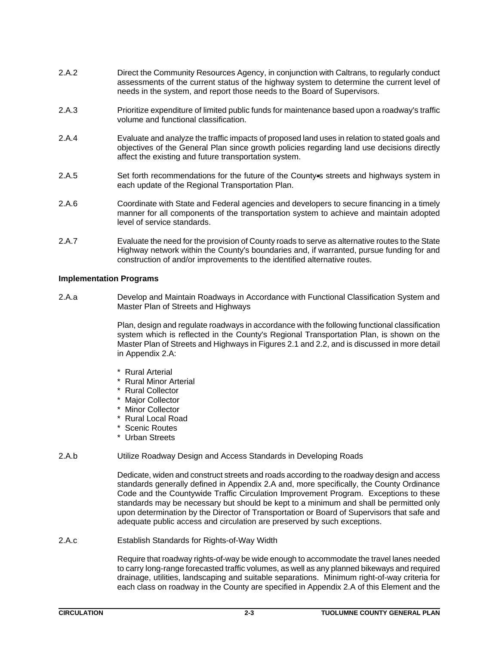- 2.A.2 Direct the Community Resources Agency, in conjunction with Caltrans, to regularly conduct assessments of the current status of the highway system to determine the current level of needs in the system, and report those needs to the Board of Supervisors.
- 2.A.3 Prioritize expenditure of limited public funds for maintenance based upon a roadway's traffic volume and functional classification.
- 2.A.4 Evaluate and analyze the traffic impacts of proposed land uses in relation to stated goals and objectives of the General Plan since growth policies regarding land use decisions directly affect the existing and future transportation system.
- 2.A.5 Set forth recommendations for the future of the County is streets and highways system in each update of the Regional Transportation Plan.
- 2.A.6 Coordinate with State and Federal agencies and developers to secure financing in a timely manner for all components of the transportation system to achieve and maintain adopted level of service standards.
- 2.A.7 Evaluate the need for the provision of County roads to serve as alternative routes to the State Highway network within the County's boundaries and, if warranted, pursue funding for and construction of and/or improvements to the identified alternative routes.

## **Implementation Programs**

2.A.a Develop and Maintain Roadways in Accordance with Functional Classification System and Master Plan of Streets and Highways

> Plan, design and regulate roadways in accordance with the following functional classification system which is reflected in the County's Regional Transportation Plan, is shown on the Master Plan of Streets and Highways in Figures 2.1 and 2.2, and is discussed in more detail in Appendix 2.A:

- \* Rural Arterial
- \* Rural Minor Arterial
- \* Rural Collector
- \* Major Collector
- \* Minor Collector
- \* Rural Local Road
- \* Scenic Routes
- \* Urban Streets
- 2.A.b Utilize Roadway Design and Access Standards in Developing Roads

Dedicate, widen and construct streets and roads according to the roadway design and access standards generally defined in Appendix 2.A and, more specifically, the County Ordinance Code and the Countywide Traffic Circulation Improvement Program. Exceptions to these standards may be necessary but should be kept to a minimum and shall be permitted only upon determination by the Director of Transportation or Board of Supervisors that safe and adequate public access and circulation are preserved by such exceptions.

2.A.c Establish Standards for Rights-of-Way Width

Require that roadway rights-of-way be wide enough to accommodate the travel lanes needed to carry long-range forecasted traffic volumes, as well as any planned bikeways and required drainage, utilities, landscaping and suitable separations. Minimum right-of-way criteria for each class on roadway in the County are specified in Appendix 2.A of this Element and the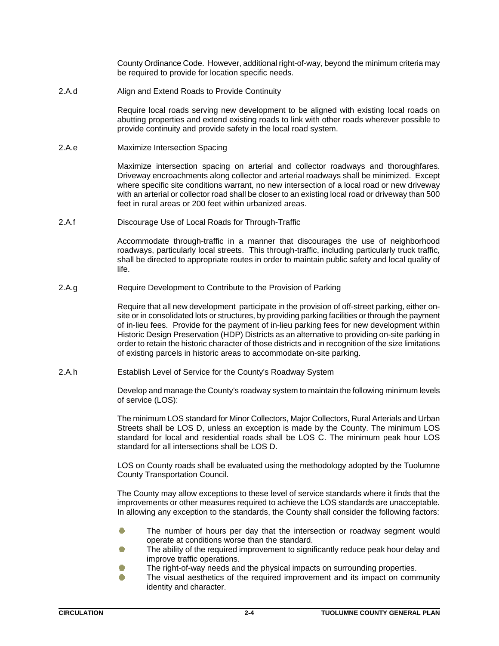County Ordinance Code. However, additional right-of-way, beyond the minimum criteria may be required to provide for location specific needs.

2.A.d Align and Extend Roads to Provide Continuity

Require local roads serving new development to be aligned with existing local roads on abutting properties and extend existing roads to link with other roads wherever possible to provide continuity and provide safety in the local road system.

2.A.e Maximize Intersection Spacing

Maximize intersection spacing on arterial and collector roadways and thoroughfares. Driveway encroachments along collector and arterial roadways shall be minimized. Except where specific site conditions warrant, no new intersection of a local road or new driveway with an arterial or collector road shall be closer to an existing local road or driveway than 500 feet in rural areas or 200 feet within urbanized areas.

2.A.f Discourage Use of Local Roads for Through-Traffic

Accommodate through-traffic in a manner that discourages the use of neighborhood roadways, particularly local streets. This through-traffic, including particularly truck traffic, shall be directed to appropriate routes in order to maintain public safety and local quality of life.

2.A.g Require Development to Contribute to the Provision of Parking

Require that all new development participate in the provision of off-street parking, either onsite or in consolidated lots or structures, by providing parking facilities or through the payment of in-lieu fees. Provide for the payment of in-lieu parking fees for new development within Historic Design Preservation (HDP) Districts as an alternative to providing on-site parking in order to retain the historic character of those districts and in recognition of the size limitations of existing parcels in historic areas to accommodate on-site parking.

2.A.h Establish Level of Service for the County's Roadway System

Develop and manage the County's roadway system to maintain the following minimum levels of service (LOS):

The minimum LOS standard for Minor Collectors, Major Collectors, Rural Arterials and Urban Streets shall be LOS D, unless an exception is made by the County. The minimum LOS standard for local and residential roads shall be LOS C. The minimum peak hour LOS standard for all intersections shall be LOS D.

LOS on County roads shall be evaluated using the methodology adopted by the Tuolumne County Transportation Council.

The County may allow exceptions to these level of service standards where it finds that the improvements or other measures required to achieve the LOS standards are unacceptable. In allowing any exception to the standards, the County shall consider the following factors:

- The number of hours per day that the intersection or roadway segment would O operate at conditions worse than the standard.
- The ability of the required improvement to significantly reduce peak hour delay and improve traffic operations.
- The right-of-way needs and the physical impacts on surrounding properties. O
- r 1 The visual aesthetics of the required improvement and its impact on community identity and character.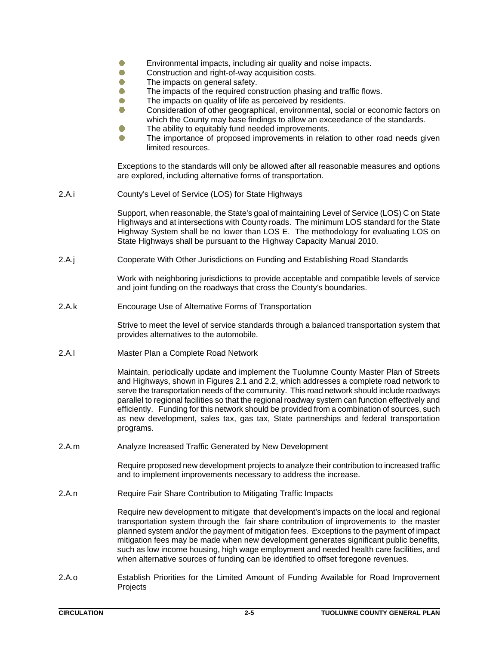- Ō Environmental impacts, including air quality and noise impacts.
- $\bullet$ Construction and right-of-way acquisition costs.
- $\bullet$ The impacts on general safety.
- Ō The impacts of the required construction phasing and traffic flows.
- Ō The impacts on quality of life as perceived by residents.
- O Consideration of other geographical, environmental, social or economic factors on which the County may base findings to allow an exceedance of the standards.
- O The ability to equitably fund needed improvements.
- O The importance of proposed improvements in relation to other road needs given limited resources.

Exceptions to the standards will only be allowed after all reasonable measures and options are explored, including alternative forms of transportation.

2.A.i County's Level of Service (LOS) for State Highways

Support, when reasonable, the State's goal of maintaining Level of Service (LOS) C on State Highways and at intersections with County roads. The minimum LOS standard for the State Highway System shall be no lower than LOS E. The methodology for evaluating LOS on State Highways shall be pursuant to the Highway Capacity Manual 2010.

2.A.j Cooperate With Other Jurisdictions on Funding and Establishing Road Standards

Work with neighboring jurisdictions to provide acceptable and compatible levels of service and joint funding on the roadways that cross the County's boundaries.

2.A.k Encourage Use of Alternative Forms of Transportation

Strive to meet the level of service standards through a balanced transportation system that provides alternatives to the automobile.

2.A.l Master Plan a Complete Road Network

Maintain, periodically update and implement the Tuolumne County Master Plan of Streets and Highways, shown in Figures 2.1 and 2.2, which addresses a complete road network to serve the transportation needs of the community. This road network should include roadways parallel to regional facilities so that the regional roadway system can function effectively and efficiently. Funding for this network should be provided from a combination of sources, such as new development, sales tax, gas tax, State partnerships and federal transportation programs.

2.A.m Analyze Increased Traffic Generated by New Development

Require proposed new development projects to analyze their contribution to increased traffic and to implement improvements necessary to address the increase.

2.A.n Require Fair Share Contribution to Mitigating Traffic Impacts

Require new development to mitigate that development's impacts on the local and regional transportation system through the fair share contribution of improvements to the master planned system and/or the payment of mitigation fees. Exceptions to the payment of impact mitigation fees may be made when new development generates significant public benefits, such as low income housing, high wage employment and needed health care facilities, and when alternative sources of funding can be identified to offset foregone revenues.

2.A.o Establish Priorities for the Limited Amount of Funding Available for Road Improvement Projects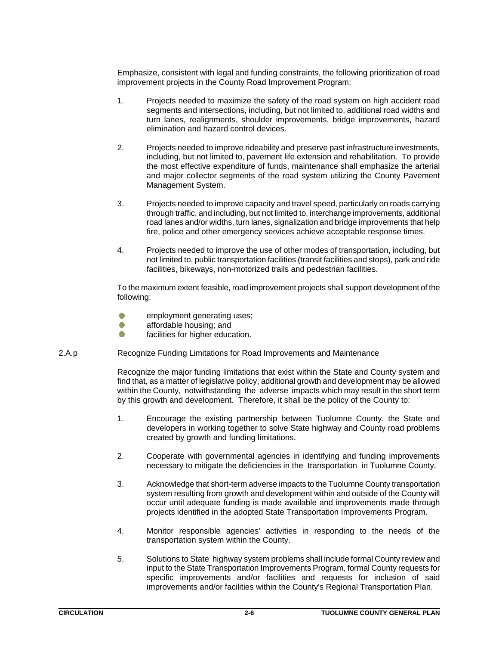Emphasize, consistent with legal and funding constraints, the following prioritization of road improvement projects in the County Road Improvement Program:

- 1. Projects needed to maximize the safety of the road system on high accident road segments and intersections, including, but not limited to, additional road widths and turn lanes, realignments, shoulder improvements, bridge improvements, hazard elimination and hazard control devices.
- 2. Projects needed to improve rideability and preserve past infrastructure investments, including, but not limited to, pavement life extension and rehabilitation. To provide the most effective expenditure of funds, maintenance shall emphasize the arterial and major collector segments of the road system utilizing the County Pavement Management System.
- 3. Projects needed to improve capacity and travel speed, particularly on roads carrying through traffic, and including, but not limited to, interchange improvements, additional road lanes and/or widths, turn lanes, signalization and bridge improvements that help fire, police and other emergency services achieve acceptable response times.
- 4. Projects needed to improve the use of other modes of transportation, including, but not limited to, public transportation facilities (transit facilities and stops), park and ride facilities, bikeways, non-motorized trails and pedestrian facilities.

To the maximum extent feasible, road improvement projects shall support development of the following:

- $\bullet$ employment generating uses;
- O affordable housing; and
- Ō facilities for higher education.
- 2.A.p Recognize Funding Limitations for Road Improvements and Maintenance

Recognize the major funding limitations that exist within the State and County system and find that, as a matter of legislative policy, additional growth and development may be allowed within the County, notwithstanding the adverse impacts which may result in the short term by this growth and development. Therefore, it shall be the policy of the County to:

- 1. Encourage the existing partnership between Tuolumne County, the State and developers in working together to solve State highway and County road problems created by growth and funding limitations.
- 2. Cooperate with governmental agencies in identifying and funding improvements necessary to mitigate the deficiencies in the transportation in Tuolumne County.
- 3. Acknowledge that short-term adverse impacts to the Tuolumne County transportation system resulting from growth and development within and outside of the County will occur until adequate funding is made available and improvements made through projects identified in the adopted State Transportation Improvements Program.
- 4. Monitor responsible agencies' activities in responding to the needs of the transportation system within the County.
- 5. Solutions to State highway system problems shall include formal County review and input to the State Transportation Improvements Program, formal County requests for specific improvements and/or facilities and requests for inclusion of said improvements and/or facilities within the County's Regional Transportation Plan.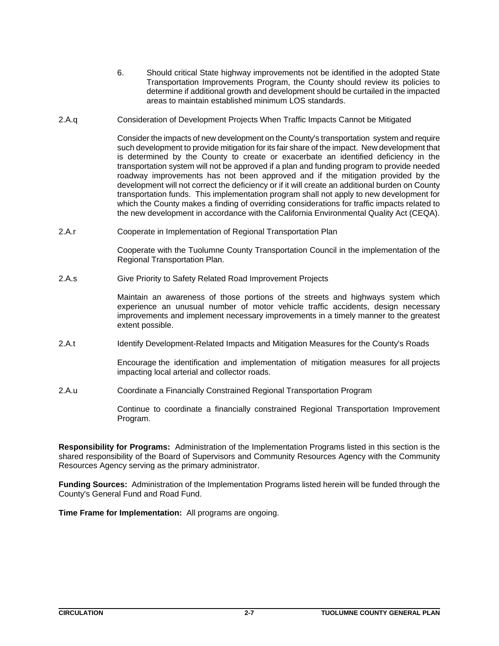- 6. Should critical State highway improvements not be identified in the adopted State Transportation Improvements Program, the County should review its policies to determine if additional growth and development should be curtailed in the impacted areas to maintain established minimum LOS standards.
- 2.A.q Consideration of Development Projects When Traffic Impacts Cannot be Mitigated

Consider the impacts of new development on the County's transportation system and require such development to provide mitigation for its fair share of the impact. New development that is determined by the County to create or exacerbate an identified deficiency in the transportation system will not be approved if a plan and funding program to provide needed roadway improvements has not been approved and if the mitigation provided by the development will not correct the deficiency or if it will create an additional burden on County transportation funds. This implementation program shall not apply to new development for which the County makes a finding of overriding considerations for traffic impacts related to the new development in accordance with the California Environmental Quality Act (CEQA).

2.A.r Cooperate in Implementation of Regional Transportation Plan

Cooperate with the Tuolumne County Transportation Council in the implementation of the Regional Transportation Plan.

2.A.s Give Priority to Safety Related Road Improvement Projects

Maintain an awareness of those portions of the streets and highways system which experience an unusual number of motor vehicle traffic accidents, design necessary improvements and implement necessary improvements in a timely manner to the greatest extent possible.

2.A.t Identify Development-Related Impacts and Mitigation Measures for the County's Roads

Encourage the identification and implementation of mitigation measures for all projects impacting local arterial and collector roads.

2.A.u Coordinate a Financially Constrained Regional Transportation Program

Continue to coordinate a financially constrained Regional Transportation Improvement Program.

**Responsibility for Programs:** Administration of the Implementation Programs listed in this section is the shared responsibility of the Board of Supervisors and Community Resources Agency with the Community Resources Agency serving as the primary administrator.

**Funding Sources:** Administration of the Implementation Programs listed herein will be funded through the County's General Fund and Road Fund.

**Time Frame for Implementation:** All programs are ongoing.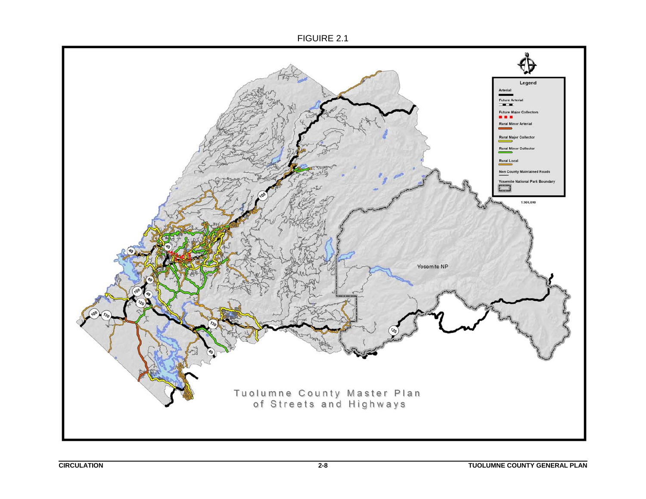FIGUIRE 2.1

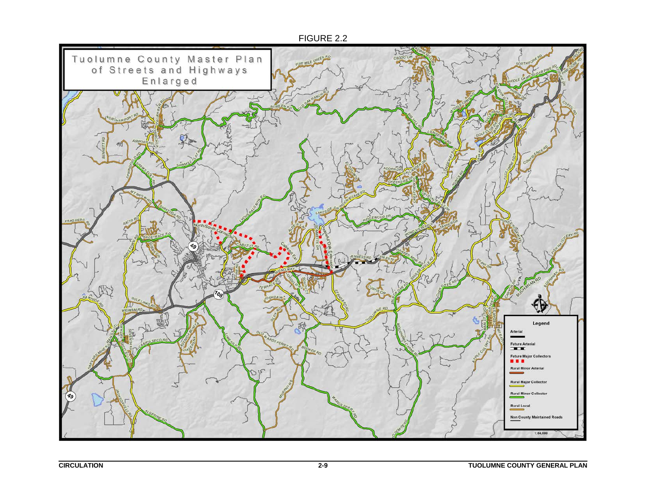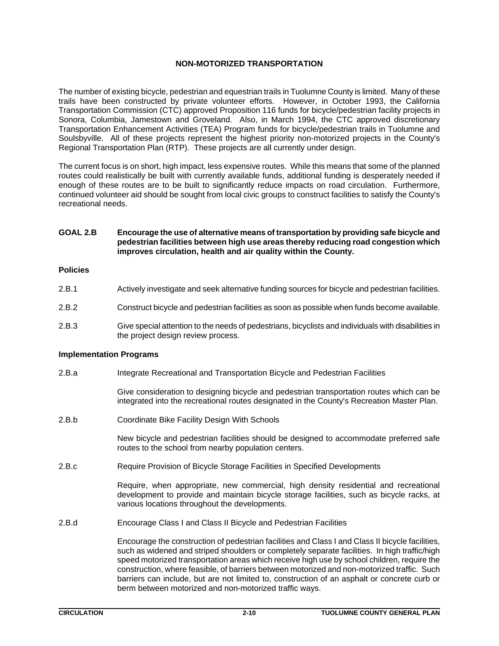## **NON-MOTORIZED TRANSPORTATION**

The number of existing bicycle, pedestrian and equestrian trails in Tuolumne County is limited. Many of these trails have been constructed by private volunteer efforts. However, in October 1993, the California Transportation Commission (CTC) approved Proposition 116 funds for bicycle/pedestrian facility projects in Sonora, Columbia, Jamestown and Groveland. Also, in March 1994, the CTC approved discretionary Transportation Enhancement Activities (TEA) Program funds for bicycle/pedestrian trails in Tuolumne and Soulsbyville. All of these projects represent the highest priority non-motorized projects in the County's Regional Transportation Plan (RTP). These projects are all currently under design.

The current focus is on short, high impact, less expensive routes. While this means that some of the planned routes could realistically be built with currently available funds, additional funding is desperately needed if enough of these routes are to be built to significantly reduce impacts on road circulation. Furthermore, continued volunteer aid should be sought from local civic groups to construct facilities to satisfy the County's recreational needs.

## **GOAL 2.B Encourage the use of alternative means of transportation by providing safe bicycle and pedestrian facilities between high use areas thereby reducing road congestion which improves circulation, health and air quality within the County.**

## **Policies**

- 2.B.1 Actively investigate and seek alternative funding sources for bicycle and pedestrian facilities.
- 2.B.2 Construct bicycle and pedestrian facilities as soon as possible when funds become available.
- 2.B.3 Give special attention to the needs of pedestrians, bicyclists and individuals with disabilities in the project design review process.

## **Implementation Programs**

2.B.a Integrate Recreational and Transportation Bicycle and Pedestrian Facilities

Give consideration to designing bicycle and pedestrian transportation routes which can be integrated into the recreational routes designated in the County's Recreation Master Plan.

2.B.b Coordinate Bike Facility Design With Schools

New bicycle and pedestrian facilities should be designed to accommodate preferred safe routes to the school from nearby population centers.

2.B.c Require Provision of Bicycle Storage Facilities in Specified Developments

Require, when appropriate, new commercial, high density residential and recreational development to provide and maintain bicycle storage facilities, such as bicycle racks, at various locations throughout the developments.

2.B.d Encourage Class I and Class II Bicycle and Pedestrian Facilities

Encourage the construction of pedestrian facilities and Class I and Class II bicycle facilities, such as widened and striped shoulders or completely separate facilities. In high traffic/high speed motorized transportation areas which receive high use by school children, require the construction, where feasible, of barriers between motorized and non-motorized traffic. Such barriers can include, but are not limited to, construction of an asphalt or concrete curb or berm between motorized and non-motorized traffic ways.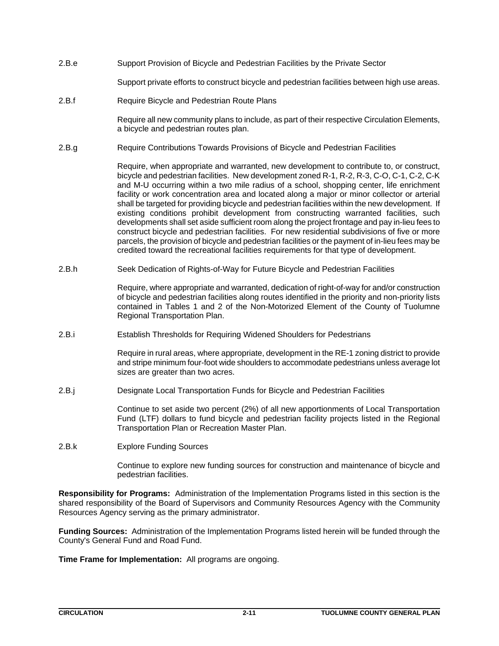2.B.e Support Provision of Bicycle and Pedestrian Facilities by the Private Sector

Support private efforts to construct bicycle and pedestrian facilities between high use areas.

2.B.f Require Bicycle and Pedestrian Route Plans

Require all new community plans to include, as part of their respective Circulation Elements, a bicycle and pedestrian routes plan.

2.B.g Require Contributions Towards Provisions of Bicycle and Pedestrian Facilities

Require, when appropriate and warranted, new development to contribute to, or construct, bicycle and pedestrian facilities. New development zoned R-1, R-2, R-3, C-O, C-1, C-2, C-K and M-U occurring within a two mile radius of a school, shopping center, life enrichment facility or work concentration area and located along a major or minor collector or arterial shall be targeted for providing bicycle and pedestrian facilities within the new development. If existing conditions prohibit development from constructing warranted facilities, such developments shall set aside sufficient room along the project frontage and pay in-lieu fees to construct bicycle and pedestrian facilities. For new residential subdivisions of five or more parcels, the provision of bicycle and pedestrian facilities or the payment of in-lieu fees may be credited toward the recreational facilities requirements for that type of development.

2.B.h Seek Dedication of Rights-of-Way for Future Bicycle and Pedestrian Facilities

Require, where appropriate and warranted, dedication of right-of-way for and/or construction of bicycle and pedestrian facilities along routes identified in the priority and non-priority lists contained in Tables 1 and 2 of the Non-Motorized Element of the County of Tuolumne Regional Transportation Plan.

2.B.i Establish Thresholds for Requiring Widened Shoulders for Pedestrians

Require in rural areas, where appropriate, development in the RE-1 zoning district to provide and stripe minimum four-foot wide shoulders to accommodate pedestrians unless average lot sizes are greater than two acres.

2.B.j Designate Local Transportation Funds for Bicycle and Pedestrian Facilities

Continue to set aside two percent (2%) of all new apportionments of Local Transportation Fund (LTF) dollars to fund bicycle and pedestrian facility projects listed in the Regional Transportation Plan or Recreation Master Plan.

2.B.k Explore Funding Sources

Continue to explore new funding sources for construction and maintenance of bicycle and pedestrian facilities.

**Responsibility for Programs:** Administration of the Implementation Programs listed in this section is the shared responsibility of the Board of Supervisors and Community Resources Agency with the Community Resources Agency serving as the primary administrator.

**Funding Sources:** Administration of the Implementation Programs listed herein will be funded through the County's General Fund and Road Fund.

**Time Frame for Implementation:** All programs are ongoing.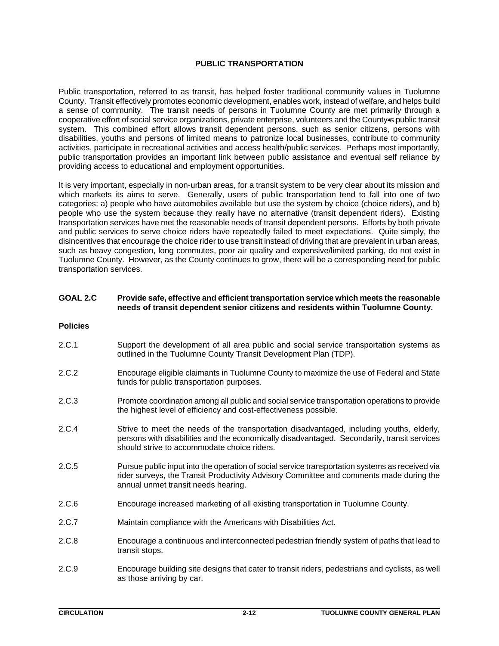## **PUBLIC TRANSPORTATION**

Public transportation, referred to as transit, has helped foster traditional community values in Tuolumne County. Transit effectively promotes economic development, enables work, instead of welfare, and helps build a sense of community. The transit needs of persons in Tuolumne County are met primarily through a cooperative effort of social service organizations, private enterprise, volunteers and the County-s public transit system. This combined effort allows transit dependent persons, such as senior citizens, persons with disabilities, youths and persons of limited means to patronize local businesses, contribute to community activities, participate in recreational activities and access health/public services. Perhaps most importantly, public transportation provides an important link between public assistance and eventual self reliance by providing access to educational and employment opportunities.

It is very important, especially in non-urban areas, for a transit system to be very clear about its mission and which markets its aims to serve. Generally, users of public transportation tend to fall into one of two categories: a) people who have automobiles available but use the system by choice (choice riders), and b) people who use the system because they really have no alternative (transit dependent riders). Existing transportation services have met the reasonable needs of transit dependent persons. Efforts by both private and public services to serve choice riders have repeatedly failed to meet expectations. Quite simply, the disincentives that encourage the choice rider to use transit instead of driving that are prevalent in urban areas, such as heavy congestion, long commutes, poor air quality and expensive/limited parking, do not exist in Tuolumne County. However, as the County continues to grow, there will be a corresponding need for public transportation services.

## **GOAL 2.C Provide safe, effective and efficient transportation service which meets the reasonable needs of transit dependent senior citizens and residents within Tuolumne County.**

#### **Policies**

- 2.C.1 Support the development of all area public and social service transportation systems as outlined in the Tuolumne County Transit Development Plan (TDP).
- 2.C.2 Encourage eligible claimants in Tuolumne County to maximize the use of Federal and State funds for public transportation purposes.
- 2.C.3 Promote coordination among all public and social service transportation operations to provide the highest level of efficiency and cost-effectiveness possible.
- 2.C.4 Strive to meet the needs of the transportation disadvantaged, including youths, elderly, persons with disabilities and the economically disadvantaged. Secondarily, transit services should strive to accommodate choice riders.
- 2.C.5 Pursue public input into the operation of social service transportation systems as received via rider surveys, the Transit Productivity Advisory Committee and comments made during the annual unmet transit needs hearing.
- 2.C.6 Encourage increased marketing of all existing transportation in Tuolumne County.
- 2.C.7 Maintain compliance with the Americans with Disabilities Act.
- 2.C.8 Encourage a continuous and interconnected pedestrian friendly system of paths that lead to transit stops.
- 2.C.9 Encourage building site designs that cater to transit riders, pedestrians and cyclists, as well as those arriving by car.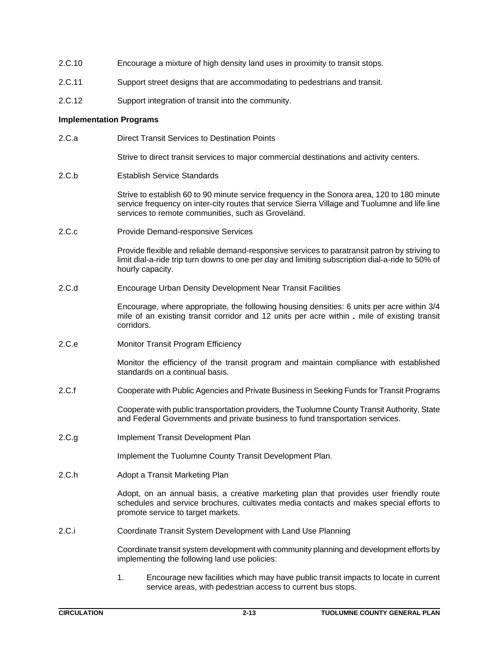- 2.C.10 Encourage a mixture of high density land uses in proximity to transit stops.
- 2.C.11 Support street designs that are accommodating to pedestrians and transit.
- 2.C.12 Support integration of transit into the community.

## **Implementation Programs**

2.C.a Direct Transit Services to Destination Points

Strive to direct transit services to major commercial destinations and activity centers.

2.C.b Establish Service Standards

Strive to establish 60 to 90 minute service frequency in the Sonora area, 120 to 180 minute service frequency on inter-city routes that service Sierra Village and Tuolumne and life line services to remote communities, such as Groveland.

2.C.c Provide Demand-responsive Services

Provide flexible and reliable demand-responsive services to paratransit patron by striving to limit dial-a-ride trip turn downs to one per day and limiting subscription dial-a-ride to 50% of hourly capacity.

2.C.d Encourage Urban Density Development Near Transit Facilities

Encourage, where appropriate, the following housing densities: 6 units per acre within 3/4 mile of an existing transit corridor and 12 units per acre within 2 mile of existing transit corridors.

2.C.e Monitor Transit Program Efficiency

Monitor the efficiency of the transit program and maintain compliance with established standards on a continual basis.

2.C.f Cooperate with Public Agencies and Private Business in Seeking Funds for Transit Programs

Cooperate with public transportation providers, the Tuolumne County Transit Authority, State and Federal Governments and private business to fund transportation services.

2.C.g Implement Transit Development Plan

Implement the Tuolumne County Transit Development Plan.

2.C.h Adopt a Transit Marketing Plan

Adopt, on an annual basis, a creative marketing plan that provides user friendly route schedules and service brochures, cultivates media contacts and makes special efforts to promote service to target markets.

2.C.i Coordinate Transit System Development with Land Use Planning

Coordinate transit system development with community planning and development efforts by implementing the following land use policies:

1. Encourage new facilities which may have public transit impacts to locate in current service areas, with pedestrian access to current bus stops.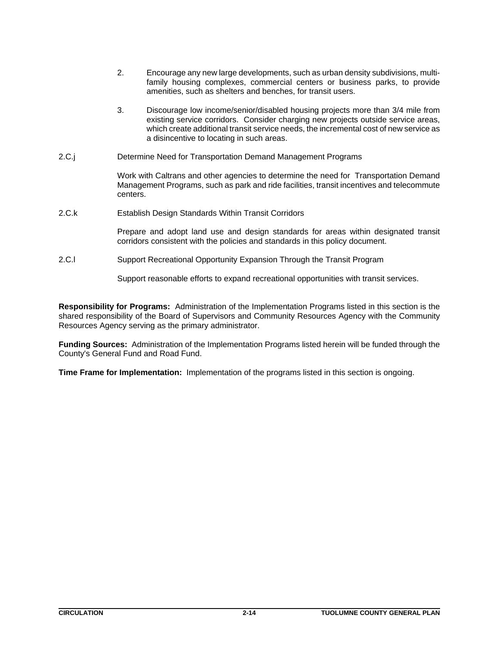- 2. Encourage any new large developments, such as urban density subdivisions, multifamily housing complexes, commercial centers or business parks, to provide amenities, such as shelters and benches, for transit users.
- 3. Discourage low income/senior/disabled housing projects more than 3/4 mile from existing service corridors. Consider charging new projects outside service areas, which create additional transit service needs, the incremental cost of new service as a disincentive to locating in such areas.
- 2.C.j Determine Need for Transportation Demand Management Programs

Work with Caltrans and other agencies to determine the need for Transportation Demand Management Programs, such as park and ride facilities, transit incentives and telecommute centers.

2.C.k Establish Design Standards Within Transit Corridors

Prepare and adopt land use and design standards for areas within designated transit corridors consistent with the policies and standards in this policy document.

2.C.l Support Recreational Opportunity Expansion Through the Transit Program

Support reasonable efforts to expand recreational opportunities with transit services.

**Responsibility for Programs:** Administration of the Implementation Programs listed in this section is the shared responsibility of the Board of Supervisors and Community Resources Agency with the Community Resources Agency serving as the primary administrator.

**Funding Sources:** Administration of the Implementation Programs listed herein will be funded through the County's General Fund and Road Fund.

**Time Frame for Implementation:** Implementation of the programs listed in this section is ongoing.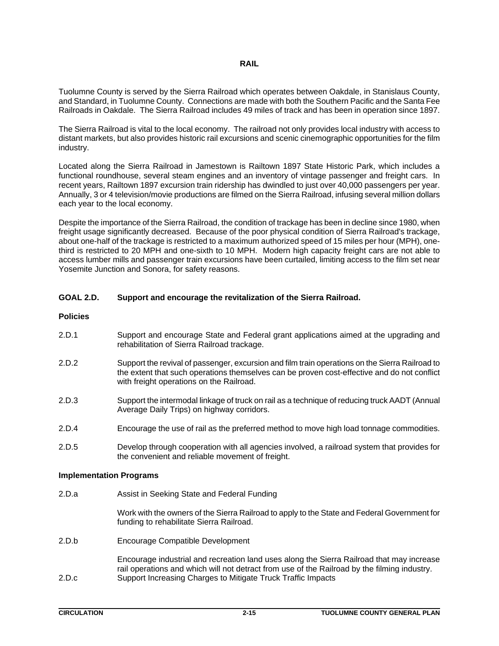## *RAIL* **RAIL**

Tuolumne County is served by the Sierra Railroad which operates between Oakdale, in Stanislaus County, and Standard, in Tuolumne County. Connections are made with both the Southern Pacific and the Santa Fee Railroads in Oakdale. The Sierra Railroad includes 49 miles of track and has been in operation since 1897.

The Sierra Railroad is vital to the local economy. The railroad not only provides local industry with access to distant markets, but also provides historic rail excursions and scenic cinemographic opportunities for the film industry.

Located along the Sierra Railroad in Jamestown is Railtown 1897 State Historic Park, which includes a functional roundhouse, several steam engines and an inventory of vintage passenger and freight cars. In recent years, Railtown 1897 excursion train ridership has dwindled to just over 40,000 passengers per year. Annually, 3 or 4 television/movie productions are filmed on the Sierra Railroad, infusing several million dollars each year to the local economy.

Despite the importance of the Sierra Railroad, the condition of trackage has been in decline since 1980, when freight usage significantly decreased. Because of the poor physical condition of Sierra Railroad's trackage, about one-half of the trackage is restricted to a maximum authorized speed of 15 miles per hour (MPH), onethird is restricted to 20 MPH and one-sixth to 10 MPH. Modern high capacity freight cars are not able to access lumber mills and passenger train excursions have been curtailed, limiting access to the film set near Yosemite Junction and Sonora, for safety reasons.

## **GOAL 2.D. Support and encourage the revitalization of the Sierra Railroad.**

## **Policies**

- 2.D.1 Support and encourage State and Federal grant applications aimed at the upgrading and rehabilitation of Sierra Railroad trackage.
- 2.D.2 Support the revival of passenger, excursion and film train operations on the Sierra Railroad to the extent that such operations themselves can be proven cost-effective and do not conflict with freight operations on the Railroad.
- 2.D.3 Support the intermodal linkage of truck on rail as a technique of reducing truck AADT (Annual Average Daily Trips) on highway corridors.
- 2.D.4 Encourage the use of rail as the preferred method to move high load tonnage commodities.
- 2.D.5 Develop through cooperation with all agencies involved, a railroad system that provides for the convenient and reliable movement of freight.

## **Implementation Programs**

2.D.a Assist in Seeking State and Federal Funding

Work with the owners of the Sierra Railroad to apply to the State and Federal Government for funding to rehabilitate Sierra Railroad.

2.D.b Encourage Compatible Development

Encourage industrial and recreation land uses along the Sierra Railroad that may increase rail operations and which will not detract from use of the Railroad by the filming industry. 2.D.c Support Increasing Charges to Mitigate Truck Traffic Impacts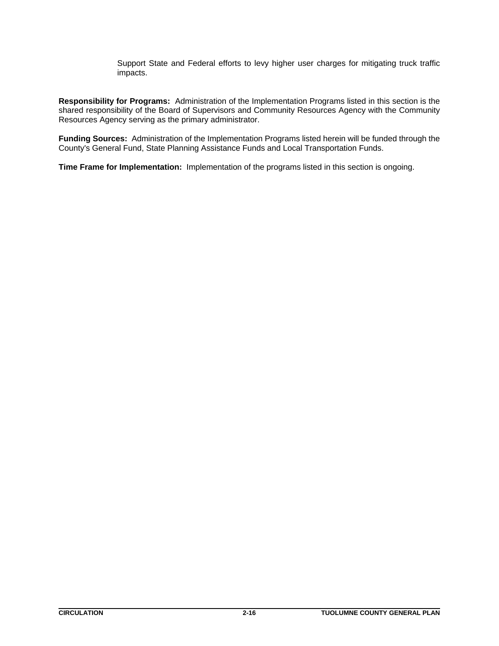Support State and Federal efforts to levy higher user charges for mitigating truck traffic impacts.

**Responsibility for Programs:** Administration of the Implementation Programs listed in this section is the shared responsibility of the Board of Supervisors and Community Resources Agency with the Community Resources Agency serving as the primary administrator.

**Funding Sources:** Administration of the Implementation Programs listed herein will be funded through the County's General Fund, State Planning Assistance Funds and Local Transportation Funds.

**Time Frame for Implementation:** Implementation of the programs listed in this section is ongoing.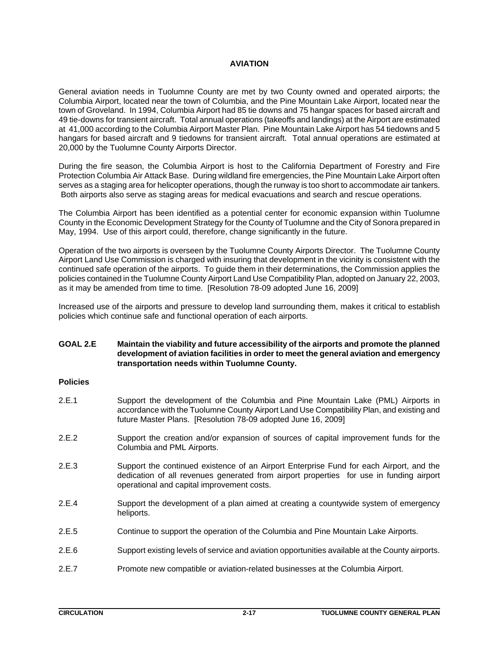## **AVIATION**

General aviation needs in Tuolumne County are met by two County owned and operated airports; the Columbia Airport, located near the town of Columbia, and the Pine Mountain Lake Airport, located near the town of Groveland. In 1994, Columbia Airport had 85 tie downs and 75 hangar spaces for based aircraft and 49 tie-downs for transient aircraft. Total annual operations (takeoffs and landings) at the Airport are estimated at 41,000 according to the Columbia Airport Master Plan. Pine Mountain Lake Airport has 54 tiedowns and 5 hangars for based aircraft and 9 tiedowns for transient aircraft. Total annual operations are estimated at 20,000 by the Tuolumne County Airports Director.

During the fire season, the Columbia Airport is host to the California Department of Forestry and Fire Protection Columbia Air Attack Base. During wildland fire emergencies, the Pine Mountain Lake Airport often serves as a staging area for helicopter operations, though the runway is too short to accommodate air tankers. Both airports also serve as staging areas for medical evacuations and search and rescue operations.

The Columbia Airport has been identified as a potential center for economic expansion within Tuolumne County in the Economic Development Strategy for the County of Tuolumne and the City of Sonora prepared in May, 1994. Use of this airport could, therefore, change significantly in the future.

Operation of the two airports is overseen by the Tuolumne County Airports Director. The Tuolumne County Airport Land Use Commission is charged with insuring that development in the vicinity is consistent with the continued safe operation of the airports. To guide them in their determinations, the Commission applies the policies contained in the Tuolumne County Airport Land Use Compatibility Plan, adopted on January 22, 2003, as it may be amended from time to time. [Resolution 78-09 adopted June 16, 2009]

Increased use of the airports and pressure to develop land surrounding them, makes it critical to establish policies which continue safe and functional operation of each airports.

## **GOAL 2.E Maintain the viability and future accessibility of the airports and promote the planned development of aviation facilities in order to meet the general aviation and emergency transportation needs within Tuolumne County.**

## **Policies**

- 2.E.1 Support the development of the Columbia and Pine Mountain Lake (PML) Airports in accordance with the Tuolumne County Airport Land Use Compatibility Plan, and existing and future Master Plans. [Resolution 78-09 adopted June 16, 2009]
- 2.E.2 Support the creation and/or expansion of sources of capital improvement funds for the Columbia and PML Airports.
- 2.E.3 Support the continued existence of an Airport Enterprise Fund for each Airport, and the dedication of all revenues generated from airport properties for use in funding airport operational and capital improvement costs.
- 2.E.4 Support the development of a plan aimed at creating a countywide system of emergency heliports.
- 2.E.5 Continue to support the operation of the Columbia and Pine Mountain Lake Airports.
- 2.E.6 Support existing levels of service and aviation opportunities available at the County airports.
- 2.E.7 Promote new compatible or aviation-related businesses at the Columbia Airport.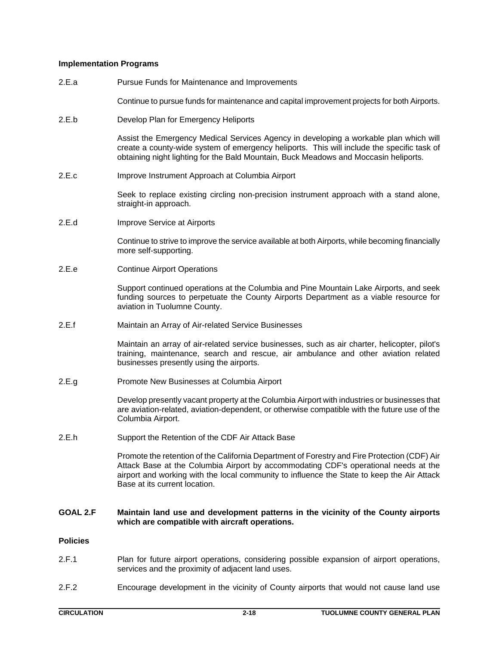## **Implementation Programs**

- 2.E.a Pursue Funds for Maintenance and Improvements
	- Continue to pursue funds for maintenance and capital improvement projects for both Airports.
- 2.E.b Develop Plan for Emergency Heliports

Assist the Emergency Medical Services Agency in developing a workable plan which will create a county-wide system of emergency heliports. This will include the specific task of obtaining night lighting for the Bald Mountain, Buck Meadows and Moccasin heliports.

2.E.c Improve Instrument Approach at Columbia Airport

Seek to replace existing circling non-precision instrument approach with a stand alone, straight-in approach.

2.E.d Improve Service at Airports

Continue to strive to improve the service available at both Airports, while becoming financially more self-supporting.

2.E.e Continue Airport Operations

Support continued operations at the Columbia and Pine Mountain Lake Airports, and seek funding sources to perpetuate the County Airports Department as a viable resource for aviation in Tuolumne County.

2.E.f Maintain an Array of Air-related Service Businesses

Maintain an array of air-related service businesses, such as air charter, helicopter, pilot's training, maintenance, search and rescue, air ambulance and other aviation related businesses presently using the airports.

2.E.g Promote New Businesses at Columbia Airport

Develop presently vacant property at the Columbia Airport with industries or businesses that are aviation-related, aviation-dependent, or otherwise compatible with the future use of the Columbia Airport.

2.E.h Support the Retention of the CDF Air Attack Base

Promote the retention of the California Department of Forestry and Fire Protection (CDF) Air Attack Base at the Columbia Airport by accommodating CDF's operational needs at the airport and working with the local community to influence the State to keep the Air Attack Base at its current location.

#### **GOAL 2.F Maintain land use and development patterns in the vicinity of the County airports which are compatible with aircraft operations.**

## **Policies**

- 2.F.1 Plan for future airport operations, considering possible expansion of airport operations, services and the proximity of adjacent land uses.
- 2.F.2 Encourage development in the vicinity of County airports that would not cause land use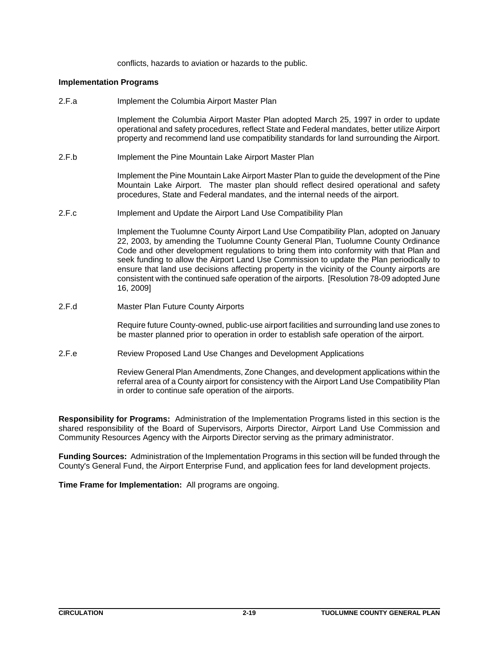conflicts, hazards to aviation or hazards to the public.

#### **Implementation Programs**

2.F.a Implement the Columbia Airport Master Plan

Implement the Columbia Airport Master Plan adopted March 25, 1997 in order to update operational and safety procedures, reflect State and Federal mandates, better utilize Airport property and recommend land use compatibility standards for land surrounding the Airport.

2.F.b Implement the Pine Mountain Lake Airport Master Plan

Implement the Pine Mountain Lake Airport Master Plan to guide the development of the Pine Mountain Lake Airport. The master plan should reflect desired operational and safety procedures, State and Federal mandates, and the internal needs of the airport.

2.F.c Implement and Update the Airport Land Use Compatibility Plan

Implement the Tuolumne County Airport Land Use Compatibility Plan, adopted on January 22, 2003, by amending the Tuolumne County General Plan, Tuolumne County Ordinance Code and other development regulations to bring them into conformity with that Plan and seek funding to allow the Airport Land Use Commission to update the Plan periodically to ensure that land use decisions affecting property in the vicinity of the County airports are consistent with the continued safe operation of the airports. [Resolution 78-09 adopted June 16, 2009]

2.F.d Master Plan Future County Airports

Require future County-owned, public-use airport facilities and surrounding land use zones to be master planned prior to operation in order to establish safe operation of the airport.

2.F.e Review Proposed Land Use Changes and Development Applications

Review General Plan Amendments, Zone Changes, and development applications within the referral area of a County airport for consistency with the Airport Land Use Compatibility Plan in order to continue safe operation of the airports.

**Responsibility for Programs:** Administration of the Implementation Programs listed in this section is the shared responsibility of the Board of Supervisors, Airports Director, Airport Land Use Commission and Community Resources Agency with the Airports Director serving as the primary administrator.

**Funding Sources:** Administration of the Implementation Programs in this section will be funded through the County's General Fund, the Airport Enterprise Fund, and application fees for land development projects.

**Time Frame for Implementation:** All programs are ongoing.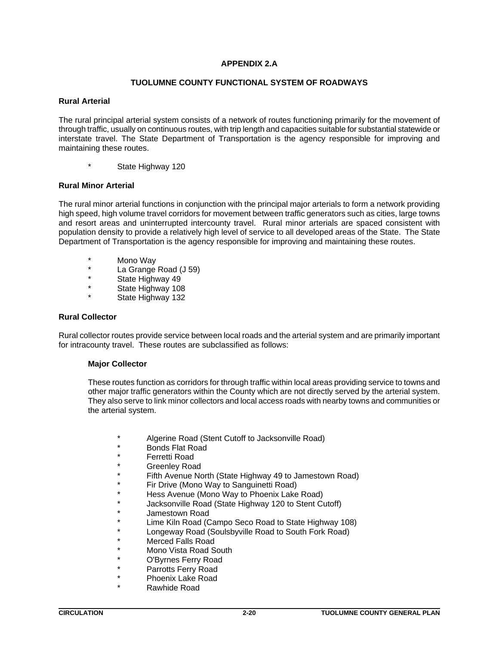## **APPENDIX 2.A**

## **TUOLUMNE COUNTY FUNCTIONAL SYSTEM OF ROADWAYS**

## **Rural Arterial**

The rural principal arterial system consists of a network of routes functioning primarily for the movement of through traffic, usually on continuous routes, with trip length and capacities suitable for substantial statewide or interstate travel. The State Department of Transportation is the agency responsible for improving and maintaining these routes.

\* State Highway 120

## **Rural Minor Arterial**

The rural minor arterial functions in conjunction with the principal major arterials to form a network providing high speed, high volume travel corridors for movement between traffic generators such as cities, large towns and resort areas and uninterrupted intercounty travel. Rural minor arterials are spaced consistent with population density to provide a relatively high level of service to all developed areas of the State. The State Department of Transportation is the agency responsible for improving and maintaining these routes.

- \* Mono Way
- \* La Grange Road (J 59)
- State Highway 49
- State Highway 108
- State Highway 132

## **Rural Collector**

Rural collector routes provide service between local roads and the arterial system and are primarily important for intracounty travel. These routes are subclassified as follows:

## **Major Collector**

These routes function as corridors for through traffic within local areas providing service to towns and other major traffic generators within the County which are not directly served by the arterial system. They also serve to link minor collectors and local access roads with nearby towns and communities or the arterial system.

- Algerine Road (Stent Cutoff to Jacksonville Road)
- Bonds Flat Road
- \* Ferretti Road
- **Greenley Road**
- Fifth Avenue North (State Highway 49 to Jamestown Road)
- Fir Drive (Mono Way to Sanguinetti Road)
- Hess Avenue (Mono Way to Phoenix Lake Road)
- Jacksonville Road (State Highway 120 to Stent Cutoff)
- Jamestown Road
- Lime Kiln Road (Campo Seco Road to State Highway 108)
- Longeway Road (Soulsbyville Road to South Fork Road)
- Merced Falls Road
- Mono Vista Road South
- O'Byrnes Ferry Road
- Parrotts Ferry Road
- Phoenix Lake Road
- Rawhide Road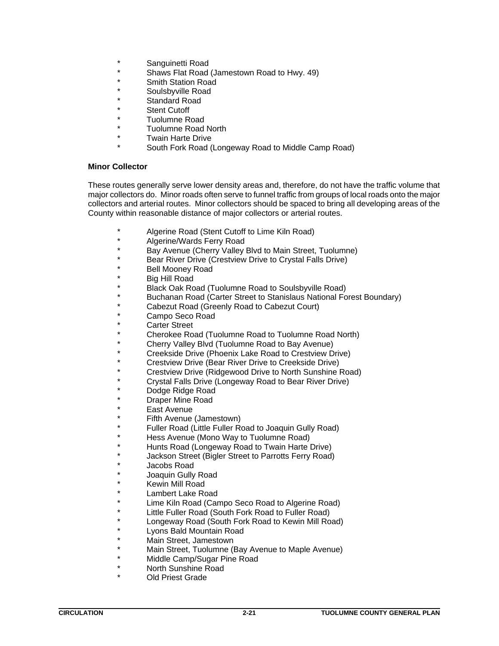- Sanguinetti Road
- Shaws Flat Road (Jamestown Road to Hwy. 49)
- \* Smith Station Road
- Soulsbyville Road
- Standard Road
- **Stent Cutoff**
- Tuolumne Road
- Tuolumne Road North
- **Twain Harte Drive** 
	- South Fork Road (Longeway Road to Middle Camp Road)

## **Minor Collector**

These routes generally serve lower density areas and, therefore, do not have the traffic volume that major collectors do. Minor roads often serve to funnel traffic from groups of local roads onto the major collectors and arterial routes. Minor collectors should be spaced to bring all developing areas of the County within reasonable distance of major collectors or arterial routes.

- Algerine Road (Stent Cutoff to Lime Kiln Road)
- Algerine/Wards Ferry Road
- \* Bay Avenue (Cherry Valley Blvd to Main Street, Tuolumne)
- Bear River Drive (Crestview Drive to Crystal Falls Drive)
- Bell Mooney Road
- Big Hill Road
- Black Oak Road (Tuolumne Road to Soulsbyville Road)
- Buchanan Road (Carter Street to Stanislaus National Forest Boundary)
- Cabezut Road (Greenly Road to Cabezut Court)
- Campo Seco Road
- Carter Street
- Cherokee Road (Tuolumne Road to Tuolumne Road North)
- Cherry Valley Blvd (Tuolumne Road to Bay Avenue)
- \* Creekside Drive (Phoenix Lake Road to Crestview Drive)
- Crestview Drive (Bear River Drive to Creekside Drive)
- Crestview Drive (Ridgewood Drive to North Sunshine Road)
- Crystal Falls Drive (Longeway Road to Bear River Drive)
- Dodge Ridge Road
- Draper Mine Road
- **East Avenue**
- Fifth Avenue (Jamestown)
- Fuller Road (Little Fuller Road to Joaquin Gully Road)
- Hess Avenue (Mono Way to Tuolumne Road)
- Hunts Road (Longeway Road to Twain Harte Drive)
- Jackson Street (Bigler Street to Parrotts Ferry Road)
- Jacobs Road
- Joaquin Gully Road
- Kewin Mill Road
- Lambert Lake Road
- Lime Kiln Road (Campo Seco Road to Algerine Road)
- Little Fuller Road (South Fork Road to Fuller Road)
- Longeway Road (South Fork Road to Kewin Mill Road)
- Lyons Bald Mountain Road
- Main Street, Jamestown
- Main Street, Tuolumne (Bay Avenue to Maple Avenue)
- Middle Camp/Sugar Pine Road
- North Sunshine Road
	- Old Priest Grade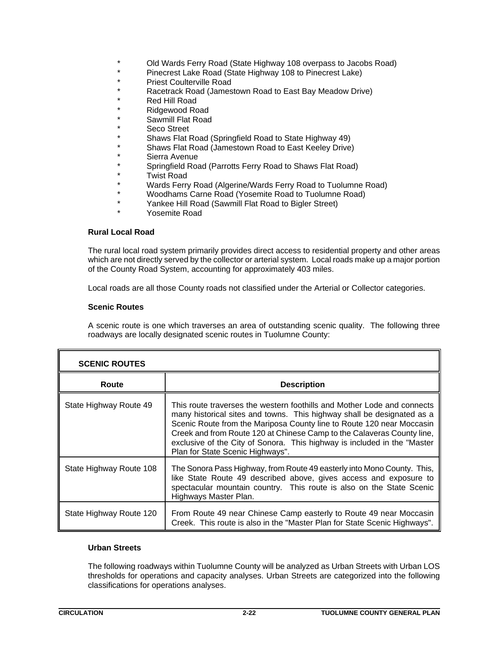- \* Old Wards Ferry Road (State Highway 108 overpass to Jacobs Road)<br>\* Pinecrest Lake Road (State Highway 108 to Pinecrest Lake)
- \* Pinecrest Lake Road (State Highway 108 to Pinecrest Lake)
- \* Priest Coulterville Road
- \* Racetrack Road (Jamestown Road to East Bay Meadow Drive)
- Red Hill Road
- \* Ridgewood Road
- Sawmill Flat Road
- \* Seco Street<br>\* Shows Flot I
- \* Shaws Flat Road (Springfield Road to State Highway 49)
- \* Shaws Flat Road (Jamestown Road to East Keeley Drive)
- \* Sierra Avenue<br>\* Seringfield Bee
- \* Springfield Road (Parrotts Ferry Road to Shaws Flat Road)
- \* Twist Road
- Wards Ferry Road (Algerine/Wards Ferry Road to Tuolumne Road)
- Woodhams Carne Road (Yosemite Road to Tuolumne Road)
- \* Yankee Hill Road (Sawmill Flat Road to Bigler Street)
	- Yosemite Road

## **Rural Local Road**

The rural local road system primarily provides direct access to residential property and other areas which are not directly served by the collector or arterial system. Local roads make up a major portion of the County Road System, accounting for approximately 403 miles.

Local roads are all those County roads not classified under the Arterial or Collector categories.

## **Scenic Routes**

A scenic route is one which traverses an area of outstanding scenic quality. The following three roadways are locally designated scenic routes in Tuolumne County:

| <b>SCENIC ROUTES</b>    |                                                                                                                                                                                                                                                                                                                                                                                                                      |  |
|-------------------------|----------------------------------------------------------------------------------------------------------------------------------------------------------------------------------------------------------------------------------------------------------------------------------------------------------------------------------------------------------------------------------------------------------------------|--|
| Route                   | <b>Description</b>                                                                                                                                                                                                                                                                                                                                                                                                   |  |
| State Highway Route 49  | This route traverses the western foothills and Mother Lode and connects<br>many historical sites and towns. This highway shall be designated as a<br>Scenic Route from the Mariposa County line to Route 120 near Moccasin<br>Creek and from Route 120 at Chinese Camp to the Calaveras County line,<br>exclusive of the City of Sonora. This highway is included in the "Master<br>Plan for State Scenic Highways". |  |
| State Highway Route 108 | The Sonora Pass Highway, from Route 49 easterly into Mono County. This,<br>like State Route 49 described above, gives access and exposure to<br>spectacular mountain country. This route is also on the State Scenic<br>Highways Master Plan.                                                                                                                                                                        |  |
| State Highway Route 120 | From Route 49 near Chinese Camp easterly to Route 49 near Moccasin<br>Creek. This route is also in the "Master Plan for State Scenic Highways".                                                                                                                                                                                                                                                                      |  |

## **Urban Streets**

The following roadways within Tuolumne County will be analyzed as Urban Streets with Urban LOS thresholds for operations and capacity analyses. Urban Streets are categorized into the following classifications for operations analyses.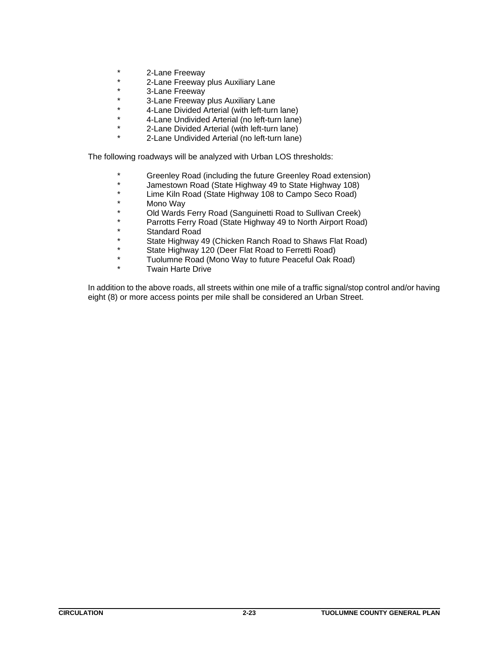- 2-Lane Freeway
- \* 2-Lane Freeway plus Auxiliary Lane
- \* 3-Lane Freeway
- \* 3-Lane Freeway plus Auxiliary Lane
- \* 4-Lane Divided Arterial (with left-turn lane)
- \* 4-Lane Undivided Arterial (no left-turn lane)
- 2-Lane Divided Arterial (with left-turn lane)
- 2-Lane Undivided Arterial (no left-turn lane)

The following roadways will be analyzed with Urban LOS thresholds:

- \* Greenley Road (including the future Greenley Road extension)
- \* Jamestown Road (State Highway 49 to State Highway 108)
- \* Lime Kiln Road (State Highway 108 to Campo Seco Road)
- \* Mono Way<br>\* Old Wards
- \* Old Wards Ferry Road (Sanguinetti Road to Sullivan Creek)
- \* Parrotts Ferry Road (State Highway 49 to North Airport Road)
- \* Standard Road
- \* State Highway 49 (Chicken Ranch Road to Shaws Flat Road)
- \* State Highway 120 (Deer Flat Road to Ferretti Road)
- \* Tuolumne Road (Mono Way to future Peaceful Oak Road)
- Twain Harte Drive

In addition to the above roads, all streets within one mile of a traffic signal/stop control and/or having eight (8) or more access points per mile shall be considered an Urban Street.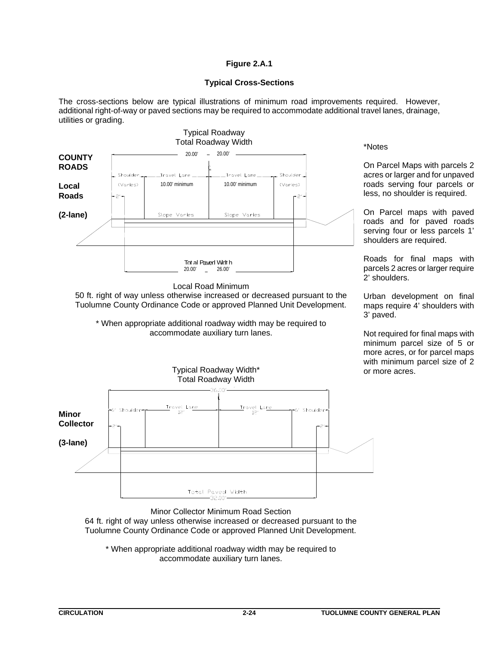# **Figure 2.A.1**

## **Typical Cross-Sections**

The cross-sections below are typical illustrations of minimum road improvements required. However, additional right-of-way or paved sections may be required to accommodate additional travel lanes, drainage, utilities or grading.



\* When appropriate additional roadway width may be required to accommodate auxiliary turn lanes.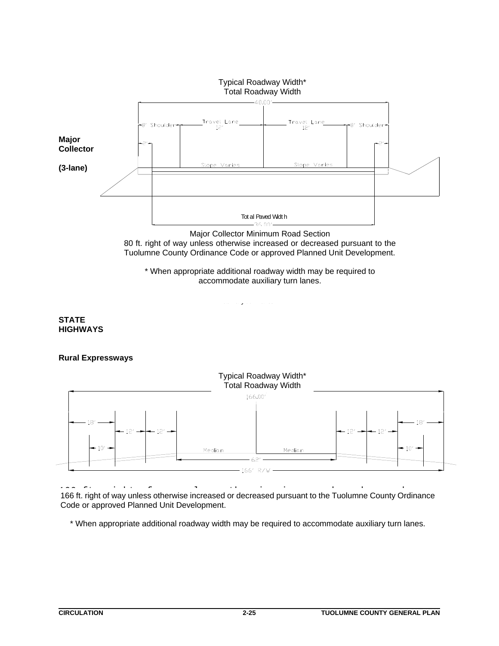

Major Collector Minimum Road Section 80 ft way unless otherwise increased or decreased parsual. Tuolumne County Ordinance Code or approved Planned Unit Development. 80 ft. right of way unless otherwise increased or decreased pursuant to the

\* When appropriate additional roadway width may be required to .<br>modate auviliary turn la accommodate auxiliary turn lanes.

auxilary t urn lanes.

# **STATE HIGHWAYS**

# **Rural Expressways**



166 ft. right of way unless otherwise increased or deceased 166 ft. right of way unless otherwise increased or decreased pursuant to the Tuolumne County Ordinance Public right of way amoso officially biological or activities in the Tuolumne Code or approved Planned Unit Development. Ordinance code or approved Development Agreement.

\* When appropriate additional roadway width may be required to accommodate auxiliary turn lanes.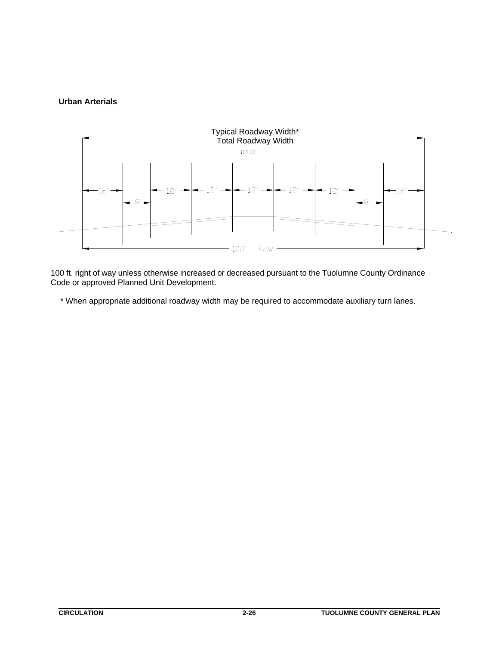# **Urban Arterials**



100 ft. right of way unless otherwise increased or deceased 100 ft. right of way unless otherwise increased or decreased pursuant to the Tuolumne County Ordinance Code or approved Planned Unit Development.

\* When appropriate additional roadway width may be required to accommodate auxiliary turn lanes.